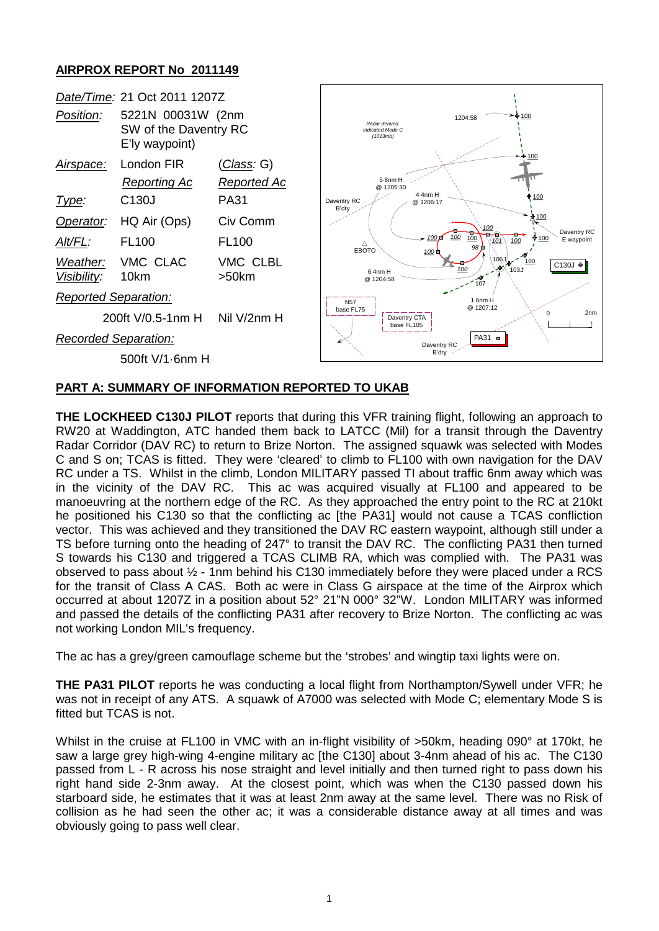## **AIRPROX REPORT No 2011149**

| Date/Time: 21 Oct 2011 1207Z |                                                              |                      |                                                |                                          |                                              |                        |                           |
|------------------------------|--------------------------------------------------------------|----------------------|------------------------------------------------|------------------------------------------|----------------------------------------------|------------------------|---------------------------|
| Position:                    | 5221N 00031W (2nm<br>SW of the Daventry RC<br>E'ly waypoint) |                      | Radar derived.<br>Indicated Mode C<br>(1013mb) |                                          | 1204:58                                      | $+100$                 |                           |
| <u>Airspace:</u>             | London FIR                                                   | <u>(Class</u> : G)   |                                                |                                          |                                              | ፁ 100                  |                           |
|                              | <b>Reporting Ac</b>                                          | <b>Reported Ac</b>   | 5-8nm H<br>@ 1205:30                           |                                          |                                              |                        |                           |
| <u>Type:</u>                 | C <sub>130</sub>                                             | <b>PA31</b>          | Daventry RC<br>B'dry                           | 4-4nm H<br>@ 1206:17                     |                                              | 100                    |                           |
| Operator:                    | HQ Air (Ops)                                                 | Civ Comm             |                                                |                                          |                                              | ♣ 100                  |                           |
| <u>Alt/FL:</u>               | <b>FL100</b>                                                 | FL <sub>100</sub>    | Δ<br><b>EBOTO</b>                              | $\sim 100\,\text{m}$<br>100 <sup>1</sup> | $\frac{100}{1}$<br>100<br>100<br>101<br>98 D | ∲ 100<br>100           | Daventry RC<br>E waypoint |
| Weather:<br>Visibility:      | VMC CLAC<br>10km                                             | VMC CLBL<br>$>50$ km | 6-4nm H<br>@ 1204:58                           |                                          | 106J<br>100<br>≁<br>۱07                      | 100<br>C130J +<br>1031 |                           |
| <b>Reported Separation:</b>  |                                                              |                      | <b>N57</b>                                     |                                          | $1.6$ nm H                                   |                        |                           |
| 200ft V/0.5-1nm H            |                                                              | Nil V/2nm H          | base FL75                                      | Daventry CTA<br>base FL105               | @ 1207:12                                    | 0                      | 2 <sub>nm</sub>           |
| <b>Recorded Separation:</b>  |                                                              |                      |                                                | Daventry RC                              | $PA31 =$                                     |                        |                           |
| 500ft V/1-6nm H              |                                                              |                      |                                                | B'dry                                    |                                              |                        |                           |
|                              |                                                              |                      |                                                |                                          |                                              |                        |                           |

## **PART A: SUMMARY OF INFORMATION REPORTED TO UKAB**

**THE LOCKHEED C130J PILOT** reports that during this VFR training flight, following an approach to RW20 at Waddington, ATC handed them back to LATCC (Mil) for a transit through the Daventry Radar Corridor (DAV RC) to return to Brize Norton. The assigned squawk was selected with Modes C and S on; TCAS is fitted. They were 'cleared' to climb to FL100 with own navigation for the DAV RC under a TS. Whilst in the climb, London MILITARY passed TI about traffic 6nm away which was in the vicinity of the DAV RC. This ac was acquired visually at FL100 and appeared to be manoeuvring at the northern edge of the RC. As they approached the entry point to the RC at 210kt he positioned his C130 so that the conflicting ac [the PA31] would not cause a TCAS confliction vector. This was achieved and they transitioned the DAV RC eastern waypoint, although still under a TS before turning onto the heading of 247° to transit the DAV RC. The conflicting PA31 then turned S towards his C130 and triggered a TCAS CLIMB RA, which was complied with. The PA31 was observed to pass about ½ - 1nm behind his C130 immediately before they were placed under a RCS for the transit of Class A CAS. Both ac were in Class G airspace at the time of the Airprox which occurred at about 1207Z in a position about 52° 21"N 000° 32"W. London MILITARY was informed and passed the details of the conflicting PA31 after recovery to Brize Norton. The conflicting ac was not working London MIL's frequency.

The ac has a grey/green camouflage scheme but the 'strobes' and wingtip taxi lights were on.

**THE PA31 PILOT** reports he was conducting a local flight from Northampton/Sywell under VFR; he was not in receipt of any ATS. A squawk of A7000 was selected with Mode C; elementary Mode S is fitted but TCAS is not.

Whilst in the cruise at FL100 in VMC with an in-flight visibility of >50km, heading 090° at 170kt, he saw a large grey high-wing 4-engine military ac [the C130] about 3-4nm ahead of his ac. The C130 passed from L - R across his nose straight and level initially and then turned right to pass down his right hand side 2-3nm away. At the closest point, which was when the C130 passed down his starboard side, he estimates that it was at least 2nm away at the same level. There was no Risk of collision as he had seen the other ac; it was a considerable distance away at all times and was obviously going to pass well clear.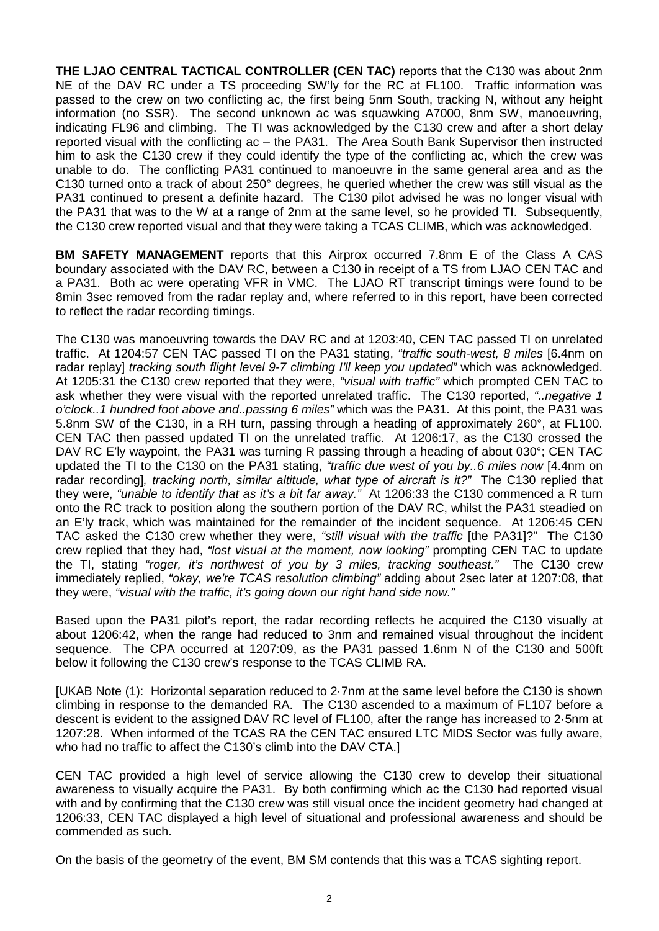**THE LJAO CENTRAL TACTICAL CONTROLLER (CEN TAC)** reports that the C130 was about 2nm NE of the DAV RC under a TS proceeding SW'ly for the RC at FL100. Traffic information was passed to the crew on two conflicting ac, the first being 5nm South, tracking N, without any height information (no SSR). The second unknown ac was squawking A7000, 8nm SW, manoeuvring, indicating FL96 and climbing. The TI was acknowledged by the C130 crew and after a short delay reported visual with the conflicting ac – the PA31. The Area South Bank Supervisor then instructed him to ask the C130 crew if they could identify the type of the conflicting ac, which the crew was unable to do. The conflicting PA31 continued to manoeuvre in the same general area and as the C130 turned onto a track of about 250° degrees, he queried whether the crew was still visual as the PA31 continued to present a definite hazard. The C130 pilot advised he was no longer visual with the PA31 that was to the W at a range of 2nm at the same level, so he provided TI. Subsequently, the C130 crew reported visual and that they were taking a TCAS CLIMB, which was acknowledged.

**BM SAFETY MANAGEMENT** reports that this Airprox occurred 7.8nm E of the Class A CAS boundary associated with the DAV RC, between a C130 in receipt of a TS from LJAO CEN TAC and a PA31. Both ac were operating VFR in VMC. The LJAO RT transcript timings were found to be 8min 3sec removed from the radar replay and, where referred to in this report, have been corrected to reflect the radar recording timings.

The C130 was manoeuvring towards the DAV RC and at 1203:40, CEN TAC passed TI on unrelated traffic. At 1204:57 CEN TAC passed TI on the PA31 stating, *"traffic south-west, 8 miles* [6.4nm on radar replay] *tracking south flight level 9-7 climbing I'll keep you updated"* which was acknowledged. At 1205:31 the C130 crew reported that they were, *"visual with traffic"* which prompted CEN TAC to ask whether they were visual with the reported unrelated traffic. The C130 reported, *"..negative 1 o'clock..1 hundred foot above and..passing 6 miles"* which was the PA31. At this point, the PA31 was 5.8nm SW of the C130, in a RH turn, passing through a heading of approximately 260°, at FL100. CEN TAC then passed updated TI on the unrelated traffic. At 1206:17, as the C130 crossed the DAV RC E'ly waypoint, the PA31 was turning R passing through a heading of about 030°; CEN TAC updated the TI to the C130 on the PA31 stating, *"traffic due west of you by..6 miles now* [4.4nm on radar recording]*, tracking north, similar altitude, what type of aircraft is it?"* The C130 replied that they were, *"unable to identify that as it's a bit far away."* At 1206:33 the C130 commenced a R turn onto the RC track to position along the southern portion of the DAV RC, whilst the PA31 steadied on an E'ly track, which was maintained for the remainder of the incident sequence. At 1206:45 CEN TAC asked the C130 crew whether they were, *"still visual with the traffic* [the PA31]?" The C130 crew replied that they had, *"lost visual at the moment, now looking"* prompting CEN TAC to update the TI, stating *"roger, it's northwest of you by 3 miles, tracking southeast."* The C130 crew immediately replied, *"okay, we're TCAS resolution climbing"* adding about 2sec later at 1207:08, that they were, *"visual with the traffic, it's going down our right hand side now."*

Based upon the PA31 pilot's report, the radar recording reflects he acquired the C130 visually at about 1206:42, when the range had reduced to 3nm and remained visual throughout the incident sequence. The CPA occurred at 1207:09, as the PA31 passed 1.6nm N of the C130 and 500ft below it following the C130 crew's response to the TCAS CLIMB RA.

[UKAB Note (1): Horizontal separation reduced to 2·7nm at the same level before the C130 is shown climbing in response to the demanded RA. The C130 ascended to a maximum of FL107 before a descent is evident to the assigned DAV RC level of FL100, after the range has increased to 2·5nm at 1207:28. When informed of the TCAS RA the CEN TAC ensured LTC MIDS Sector was fully aware, who had no traffic to affect the C130's climb into the DAV CTA.]

CEN TAC provided a high level of service allowing the C130 crew to develop their situational awareness to visually acquire the PA31. By both confirming which ac the C130 had reported visual with and by confirming that the C130 crew was still visual once the incident geometry had changed at 1206:33, CEN TAC displayed a high level of situational and professional awareness and should be commended as such.

On the basis of the geometry of the event, BM SM contends that this was a TCAS sighting report.